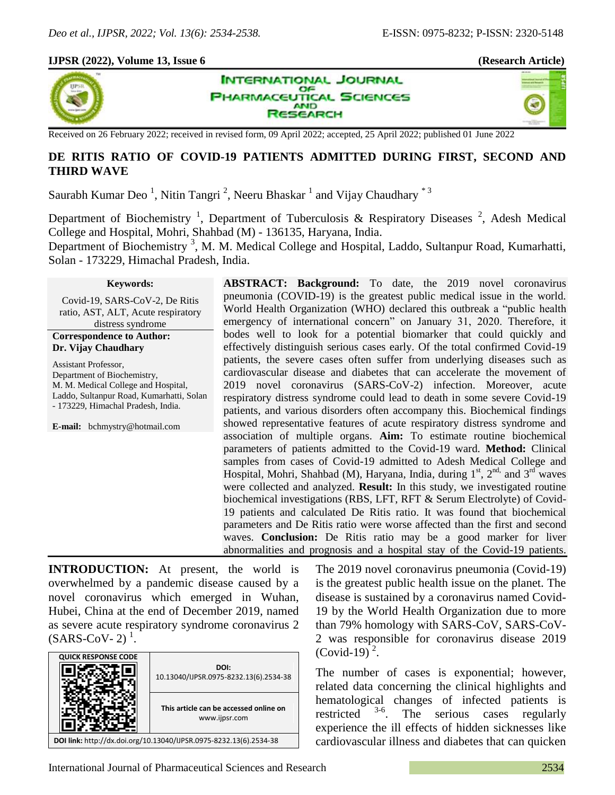## **IJPSR (2022), Volume 13, Issue 6 (Research Article)**







Received on 26 February 2022; received in revised form, 09 April 2022; accepted, 25 April 2022; published 01 June 2022

# **DE RITIS RATIO OF COVID-19 PATIENTS ADMITTED DURING FIRST, SECOND AND THIRD WAVE**

Saurabh Kumar Deo<sup>1</sup>, Nitin Tangri<sup>2</sup>, Neeru Bhaskar<sup>1</sup> and Vijay Chaudhary<sup>\*3</sup>

Department of Biochemistry<sup>1</sup>, Department of Tuberculosis & Respiratory Diseases<sup>2</sup>, Adesh Medical College and Hospital, Mohri, Shahbad (M) - 136135, Haryana, India.

Department of Biochemistry<sup>3</sup>, M. M. Medical College and Hospital, Laddo, Sultanpur Road, Kumarhatti, Solan - 173229, Himachal Pradesh, India.

#### **Keywords:**

Covid-19, SARS-CoV-2, De Ritis ratio, AST, ALT, Acute respiratory distress syndrome

#### **Correspondence to Author: Dr. Vijay Chaudhary**

Assistant Professor, Department of Biochemistry, M. M. Medical College and Hospital, Laddo, Sultanpur Road, Kumarhatti, Solan - 173229, Himachal Pradesh, India.

**E-mail:** bchmystry@hotmail.com

**ABSTRACT: Background:** To date, the 2019 novel coronavirus pneumonia (COVID-19) is the greatest public medical issue in the world. World Health Organization (WHO) declared this outbreak a "public health emergency of international concern" on January 31, 2020. Therefore, it bodes well to look for a potential biomarker that could quickly and effectively distinguish serious cases early. Of the total confirmed Covid-19 patients, the severe cases often suffer from underlying diseases such as cardiovascular disease and diabetes that can accelerate the movement of 2019 novel coronavirus (SARS-CoV-2) infection. Moreover, acute respiratory distress syndrome could lead to death in some severe Covid-19 patients, and various disorders often accompany this. Biochemical findings showed representative features of acute respiratory distress syndrome and association of multiple organs. **Aim:** To estimate routine biochemical parameters of patients admitted to the Covid-19 ward. **Method:** Clinical samples from cases of Covid-19 admitted to Adesh Medical College and Hospital, Mohri, Shahbad (M), Haryana, India, during  $1<sup>st</sup>$ ,  $2<sup>nd</sup>$ , and  $3<sup>rd</sup>$  waves were collected and analyzed. **Result:** In this study, we investigated routine biochemical investigations (RBS, LFT, RFT & Serum Electrolyte) of Covid-19 patients and calculated De Ritis ratio. It was found that biochemical parameters and De Ritis ratio were worse affected than the first and second waves. **Conclusion:** De Ritis ratio may be a good marker for liver abnormalities and prognosis and a hospital stay of the Covid-19 patients.

**INTRODUCTION:** At present, the world is overwhelmed by a pandemic disease caused by a novel coronavirus which emerged in Wuhan, Hubei, China at the end of December 2019, named as severe acute respiratory syndrome coronavirus 2  $(SARS-CoV-2)^1$ .

| <b>QUICK RESPONSE CODE</b>                                         | DOI:<br>10.13040/IJPSR.0975-8232.13(6).2534-38          |  |  |  |
|--------------------------------------------------------------------|---------------------------------------------------------|--|--|--|
|                                                                    | This article can be accessed online on<br>www.ijpsr.com |  |  |  |
| DOI link: http://dx.doi.org/10.13040/IJPSR.0975-8232.13(6).2534-38 |                                                         |  |  |  |

The 2019 novel coronavirus pneumonia (Covid-19) is the greatest public health issue on the planet. The disease is sustained by a coronavirus named Covid-19 by the World Health Organization due to more than 79% homology with SARS-CoV, SARS-CoV-2 was responsible for coronavirus disease 2019  $(Covid-19)^2$ .

The number of cases is exponential; however, related data concerning the clinical highlights and hematological changes of infected patients is<br>restricted  $3-6$ . The serious cases regularly restricted . The serious cases regularly experience the ill effects of hidden sicknesses like cardiovascular illness and diabetes that can quicken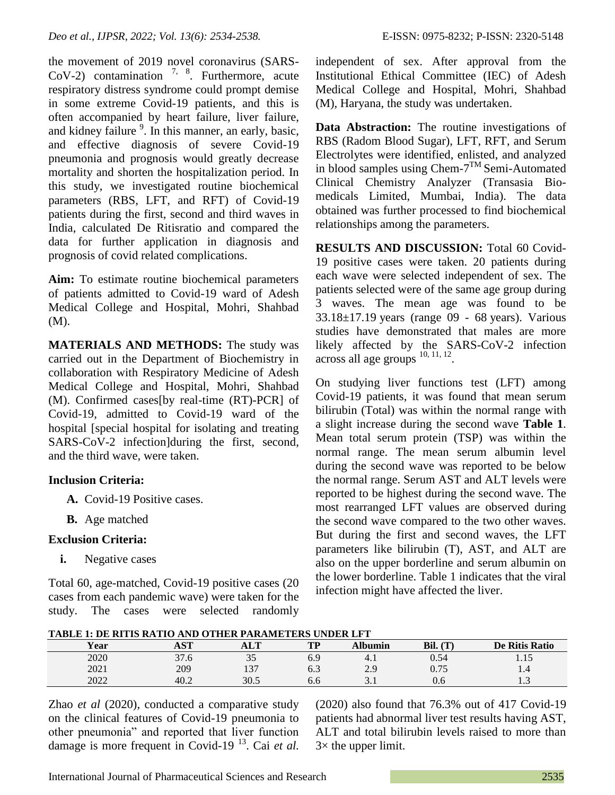the movement of 2019 novel coronavirus (SARS-CoV-2) contamination  $7, 8$ . Furthermore, acute respiratory distress syndrome could prompt demise in some extreme Covid-19 patients, and this is often accompanied by heart failure, liver failure, and kidney failure <sup>9</sup>. In this manner, an early, basic, and effective diagnosis of severe Covid-19 pneumonia and prognosis would greatly decrease mortality and shorten the hospitalization period. In this study, we investigated routine biochemical parameters (RBS, LFT, and RFT) of Covid-19 patients during the first, second and third waves in India, calculated De Ritisratio and compared the data for further application in diagnosis and prognosis of covid related complications.

**Aim:** To estimate routine biochemical parameters of patients admitted to Covid-19 ward of Adesh Medical College and Hospital, Mohri, Shahbad (M).

**MATERIALS AND METHODS:** The study was carried out in the Department of Biochemistry in collaboration with Respiratory Medicine of Adesh Medical College and Hospital, Mohri, Shahbad (M). Confirmed cases[by real-time (RT)-PCR] of Covid-19, admitted to Covid-19 ward of the hospital [special hospital for isolating and treating SARS-CoV-2 infection]during the first, second, and the third wave, were taken.

# **Inclusion Criteria:**

- **A.** Covid-19 Positive cases.
- **B.** Age matched

# **Exclusion Criteria:**

**i.** Negative cases

Total 60, age-matched, Covid-19 positive cases (20 cases from each pandemic wave) were taken for the study. The cases were selected randomly independent of sex. After approval from the Institutional Ethical Committee (IEC) of Adesh Medical College and Hospital, Mohri, Shahbad (M), Haryana, the study was undertaken.

**Data Abstraction:** The routine investigations of RBS (Radom Blood Sugar), LFT, RFT, and Serum Electrolytes were identified, enlisted, and analyzed in blood samples using Chem-7 TM Semi-Automated Clinical Chemistry Analyzer (Transasia Biomedicals Limited, Mumbai, India). The data obtained was further processed to find biochemical relationships among the parameters.

**RESULTS AND DISCUSSION:** Total 60 Covid-19 positive cases were taken. 20 patients during each wave were selected independent of sex. The patients selected were of the same age group during 3 waves. The mean age was found to be 33.18±17.19 years (range 09 - 68 years). Various studies have demonstrated that males are more likely affected by the SARS-CoV-2 infection  $\arccos$  all age groups  $^{10, 11, 12}$ .

On studying liver functions test (LFT) among Covid-19 patients, it was found that mean serum bilirubin (Total) was within the normal range with a slight increase during the second wave **Table 1**. Mean total serum protein (TSP) was within the normal range. The mean serum albumin level during the second wave was reported to be below the normal range. Serum AST and ALT levels were reported to be highest during the second wave. The most rearranged LFT values are observed during the second wave compared to the two other waves. But during the first and second waves, the LFT parameters like bilirubin (T), AST, and ALT are also on the upper borderline and serum albumin on the lower borderline. Table 1 indicates that the viral infection might have affected the liver.

**TABLE 1: DE RITIS RATIO AND OTHER PARAMETERS UNDER LFT**

| 1.1000 R DO MIN MILLO RIN VILLON HAMMODIDIN CHOON OF I |                         |                       |      |              |                           |                |  |  |  |
|--------------------------------------------------------|-------------------------|-----------------------|------|--------------|---------------------------|----------------|--|--|--|
| Year                                                   | $\alpha$                | <b>ALT</b>            | TЪ   | <b>bumin</b> | Bil.<br>(T <sup>T</sup> ) | De Ritis Ratio |  |  |  |
| 2020                                                   | 27 <sup>2</sup><br>31.0 | $\sim$ $\sim$<br>ر. ر |      | $-4.1$       | 0.54                      | .              |  |  |  |
| 2021                                                   | 209                     |                       | 0. J | 2.9          | U. I J                    | 1.4            |  |  |  |
| 2022                                                   | 40.2                    | 30.5                  | 0.O  | <u>.</u>     | v.u                       | ن د            |  |  |  |

Zhao *et al* (2020), conducted a comparative study on the clinical features of Covid-19 pneumonia to other pneumonia" and reported that liver function damage is more frequent in Covid-19<sup>13</sup>. Cai et al.

(2020) also found that 76.3% out of 417 Covid-19 patients had abnormal liver test results having AST, ALT and total bilirubin levels raised to more than  $3\times$  the upper limit.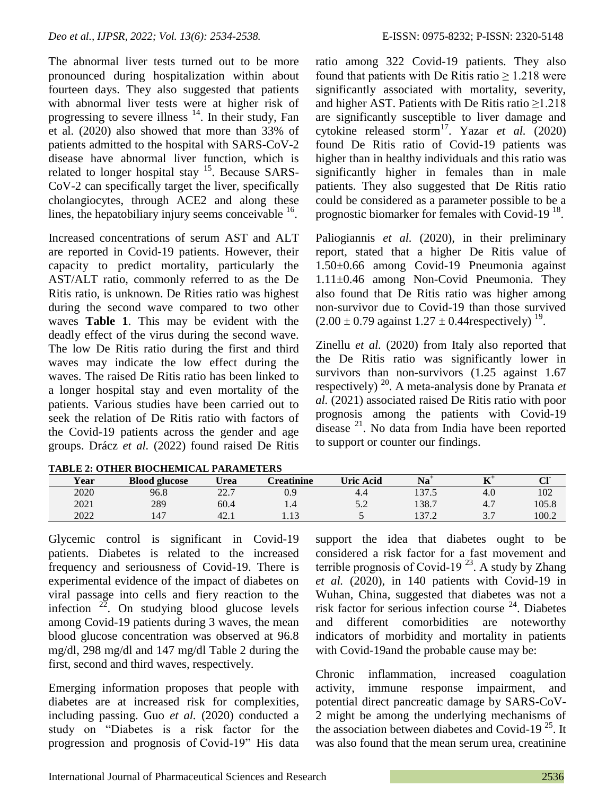The abnormal liver tests turned out to be more pronounced during hospitalization within about fourteen days. They also suggested that patients with abnormal liver tests were at higher risk of progressing to severe illness  $14$ . In their study, Fan et al. (2020) also showed that more than 33% of patients admitted to the hospital with SARS-CoV-2 disease have abnormal liver function, which is related to longer hospital stay  $15$ . Because SARS-CoV-2 can specifically target the liver, specifically cholangiocytes, through ACE2 and along these lines, the hepatobiliary injury seems conceivable <sup>16</sup>.

Increased concentrations of serum AST and ALT are reported in Covid-19 patients. However, their capacity to predict mortality, particularly the AST/ALT ratio, commonly referred to as the De Ritis ratio, is unknown. De Rities ratio was highest during the second wave compared to two other waves **Table 1**. This may be evident with the deadly effect of the virus during the second wave. The low De Ritis ratio during the first and third waves may indicate the low effect during the waves. The raised De Ritis ratio has been linked to a longer hospital stay and even mortality of the patients. Various studies have been carried out to seek the relation of De Ritis ratio with factors of the Covid-19 patients across the gender and age groups. Drácz *et al.* (2022) found raised De Ritis

ratio among 322 Covid-19 patients. They also found that patients with De Ritis ratio  $\geq 1.218$  were significantly associated with mortality, severity, and higher AST. Patients with De Ritis ratio  $\geq 1.218$ are significantly susceptible to liver damage and cytokine released storm<sup>17</sup>. Yazar *et al.* (2020) found De Ritis ratio of Covid-19 patients was higher than in healthy individuals and this ratio was significantly higher in females than in male patients. They also suggested that De Ritis ratio could be considered as a parameter possible to be a prognostic biomarker for females with Covid-19<sup>18</sup>.

Paliogiannis *et al.* (2020), in their preliminary report, stated that a higher De Ritis value of 1.50±0.66 among Covid-19 Pneumonia against 1.11±0.46 among Non-Covid Pneumonia. They also found that De Ritis ratio was higher among non-survivor due to Covid-19 than those survived  $(2.00 \pm 0.79 \text{ against } 1.27 \pm 0.44 \text{respectively})^{19}$ .

Zinellu *et al.* (2020) from Italy also reported that the De Ritis ratio was significantly lower in survivors than non-survivors  $(1.25 \text{ against } 1.67)$ respectively) <sup>20</sup>. A meta-analysis done by Pranata *et al.* (2021) associated raised De Ritis ratio with poor prognosis among the patients with Covid-19 disease <sup>21</sup>. No data from India have been reported to support or counter our findings.

| Year | <b>Blood glucose</b> | Urea      | <b>ereatinine</b>       | <b>Uric Acid</b>    | Na               | $T$ .<br>                       | <b>OU-</b><br>ິ |  |  |
|------|----------------------|-----------|-------------------------|---------------------|------------------|---------------------------------|-----------------|--|--|
| 2020 | 96.8                 | 22<br>44. | U.S                     | 4.4                 | 1275<br>1 J I .J | $-4.6$                          | 102             |  |  |
| 2021 | 289                  | 60.4      | <b></b>                 | $\epsilon$<br>ے ، ب | 138.7            | т.                              | 105.8           |  |  |
| 2022 | $\overline{A}$       | 42.1      | $\sim$ 1 $\sim$<br>1.IJ | ັ                   | 27<br>171.Z      | $\sim$ $\sim$<br>$\cup \cdot$ . | 100.2           |  |  |

**TABLE 2: OTHER BIOCHEMICAL PARAMETERS**

Glycemic control is significant in Covid-19 patients. Diabetes is related to the increased frequency and seriousness of Covid-19. There is experimental evidence of the impact of diabetes on viral passage into cells and fiery reaction to the infection  $22$ . On studying blood glucose levels among Covid-19 patients during 3 waves, the mean blood glucose concentration was observed at 96.8 mg/dl, 298 mg/dl and 147 mg/dl Table 2 during the first, second and third waves, respectively.

Emerging information proposes that people with diabetes are at increased risk for complexities, including passing. Guo *et al.* (2020) conducted a study on "Diabetes is a risk factor for the progression and prognosis of Covid‐19" His data

support the idea that diabetes ought to be considered a risk factor for a fast movement and terrible prognosis of Covid-19<sup>23</sup>. A study by Zhang *et al.* (2020), in 140 patients with Covid-19 in Wuhan, China, suggested that diabetes was not a risk factor for serious infection course  $24$ . Diabetes and different comorbidities are noteworthy indicators of morbidity and mortality in patients with Covid-19and the probable cause may be:

Chronic inflammation, increased coagulation activity, immune response impairment, and potential direct pancreatic damage by SARS-CoV-2 might be among the underlying mechanisms of the association between diabetes and Covid-19<sup>25</sup>. It was also found that the mean serum urea, creatinine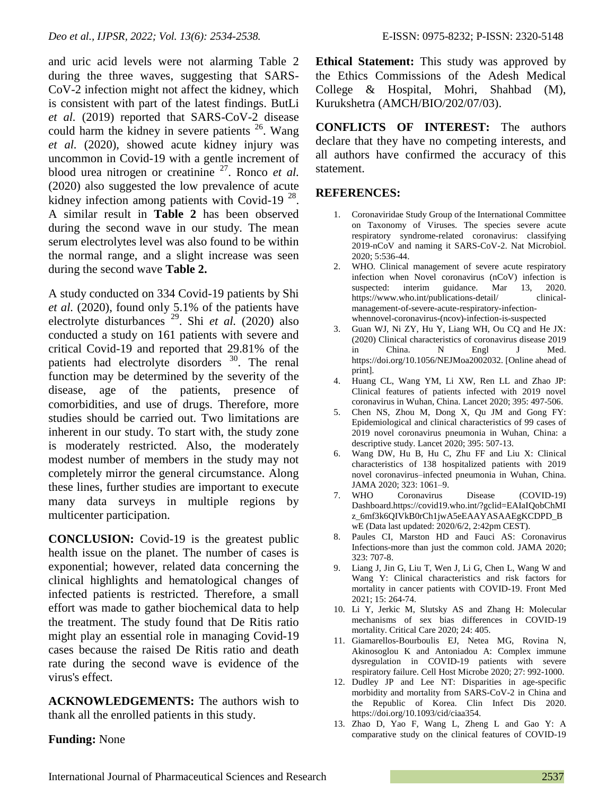and uric acid levels were not alarming Table 2 during the three waves, suggesting that SARS-CoV-2 infection might not affect the kidney, which is consistent with part of the latest findings. ButLi *et al.* (2019) reported that SARS-CoV-2 disease could harm the kidney in severe patients<sup>26</sup>. Wang *et al.* (2020), showed acute kidney injury was uncommon in Covid-19 with a gentle increment of blood urea nitrogen or creatinine <sup>27</sup>. Ronco *et al.* (2020) also suggested the low prevalence of acute kidney infection among patients with Covid-19 $^{28}$ . A similar result in **Table 2** has been observed during the second wave in our study. The mean serum electrolytes level was also found to be within the normal range, and a slight increase was seen during the second wave **Table 2.**

A study conducted on 334 Covid-19 patients by Shi *et al.* (2020), found only 5.1% of the patients have electrolyte disturbances <sup>29</sup> . Shi *et al.* (2020) also conducted a study on 161 patients with severe and critical Covid-19 and reported that 29.81% of the patients had electrolyte disorders <sup>30</sup>. The renal function may be determined by the severity of the disease, age of the patients, presence of comorbidities, and use of drugs. Therefore, more studies should be carried out. Two limitations are inherent in our study. To start with, the study zone is moderately restricted. Also, the moderately modest number of members in the study may not completely mirror the general circumstance. Along these lines, further studies are important to execute many data surveys in multiple regions by multicenter participation.

**CONCLUSION:** Covid-19 is the greatest public health issue on the planet. The number of cases is exponential; however, related data concerning the clinical highlights and hematological changes of infected patients is restricted. Therefore, a small effort was made to gather biochemical data to help the treatment. The study found that De Ritis ratio might play an essential role in managing Covid-19 cases because the raised De Ritis ratio and death rate during the second wave is evidence of the virus's effect.

**ACKNOWLEDGEMENTS:** The authors wish to thank all the enrolled patients in this study.

## **Funding:** None

**Ethical Statement:** This study was approved by the Ethics Commissions of the Adesh Medical College & Hospital, Mohri, Shahbad (M), Kurukshetra (AMCH/BIO/202/07/03).

**CONFLICTS OF INTEREST:** The authors declare that they have no competing interests, and all authors have confirmed the accuracy of this statement.

### **REFERENCES:**

- 1. Coronaviridae Study Group of the International Committee on Taxonomy of Viruses. The species severe acute respiratory syndrome-related coronavirus: classifying 2019-nCoV and naming it SARS-CoV-2. Nat Microbiol. 2020; 5:536-44.
- 2. WHO. Clinical management of severe acute respiratory infection when Novel coronavirus (nCoV) infection is suspected: interim guidance. Mar 13, 2020. https://www.who.int/publications-detail/ clinicalmanagement-of-severe-acute-respiratory-infectionwhennovel-coronavirus-(ncov)-infection-is-suspected
- 3. Guan WJ, Ni ZY, Hu Y, Liang WH, Ou CQ and He JX: (2020) Clinical characteristics of coronavirus disease 2019 in China. N Engl J Med. https://doi.org/10.1056/NEJMoa2002032. [Online ahead of print].
- 4. Huang CL, Wang YM, Li XW, Ren LL and Zhao JP: Clinical features of patients infected with 2019 novel coronavirus in Wuhan, China. Lancet 2020; 395: 497-506.
- 5. Chen NS, Zhou M, Dong X, Qu JM and Gong FY: Epidemiological and clinical characteristics of 99 cases of 2019 novel coronavirus pneumonia in Wuhan, China: a descriptive study. Lancet 2020; 395: 507-13.
- 6. Wang DW, Hu B, Hu C, Zhu FF and Liu X: Clinical characteristics of 138 hospitalized patients with 2019 novel coronavirus–infected pneumonia in Wuhan, China. JAMA 2020; 323: 1061–9.
- 7. WHO Coronavirus Disease (COVID-19) Dashboard.https://covid19.who.int/?gclid=EAIaIQobChMI z\_6mf3k6QIVkB0rCh1jwA5eEAAYASAAEgKCDPD\_B wE (Data last updated: 2020/6/2, 2:42pm CEST).
- 8. Paules CI, Marston HD and Fauci AS: Coronavirus Infections-more than just the common cold. JAMA 2020; 323: 707-8.
- 9. Liang J, Jin G, Liu T, Wen J, Li G, Chen L, Wang W and Wang Y: Clinical characteristics and risk factors for mortality in cancer patients with COVID-19. Front Med 2021; 15: 264-74.
- 10. Li Y, Jerkic M, Slutsky AS and Zhang H: Molecular mechanisms of sex bias differences in COVID-19 mortality. Critical Care 2020; 24: 405.
- 11. Giamarellos-Bourboulis EJ, Netea MG, Rovina N, Akinosoglou K and Antoniadou A: Complex immune dysregulation in COVID-19 patients with severe respiratory failure. Cell Host Microbe 2020; 27: 992-1000.
- 12. Dudley JP and Lee NT: Disparities in age-specific morbidity and mortality from SARS-CoV-2 in China and the Republic of Korea. Clin Infect Dis 2020. https://doi.org/10.1093/cid/ciaa354.
- 13. Zhao D, Yao F, Wang L, Zheng L and Gao Y: A comparative study on the clinical features of COVID-19